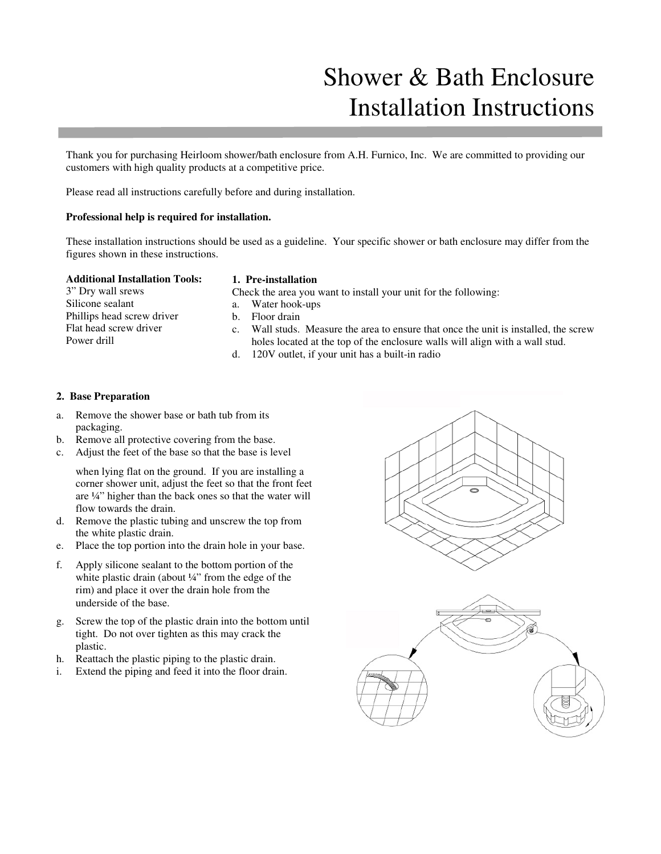# Shower & Bath Enclosure Installation Instructions

Thank you for purchasing Heirloom shower/bath enclosure from A.H. Furnico, Inc. We are committed to providing our customers with high quality products at a competitive price.

Please read all instructions carefully before and during installation.

### **Professional help is required for installation.**

These installation instructions should be used as a guideline. Your specific shower or bath enclosure may differ from the figures shown in these instructions.

#### **Additional Installation Tools:**

# **1. Pre-installation**

3" Dry wall srews Silicone sealant Phillips head screw driver Flat head screw driver Power drill

- Check the area you want to install your unit for the following:
- a. Water hook-ups
- b. Floor drain
- c. Wall studs. Measure the area to ensure that once the unit is installed, the screw holes located at the top of the enclosure walls will align with a wall stud.
- d. 120V outlet, if your unit has a built-in radio

# **2. Base Preparation**

- a. Remove the shower base or bath tub from its packaging.
- b. Remove all protective covering from the base.
- c. Adjust the feet of the base so that the base is level

when lying flat on the ground. If you are installing a corner shower unit, adjust the feet so that the front feet are ¼" higher than the back ones so that the water will flow towards the drain.

- d. Remove the plastic tubing and unscrew the top from the white plastic drain.
- e. Place the top portion into the drain hole in your base.
- f. Apply silicone sealant to the bottom portion of the white plastic drain (about ¼" from the edge of the rim) and place it over the drain hole from the underside of the base.
- g. Screw the top of the plastic drain into the bottom until tight. Do not over tighten as this may crack the plastic.
- h. Reattach the plastic piping to the plastic drain.
- i. Extend the piping and feed it into the floor drain.

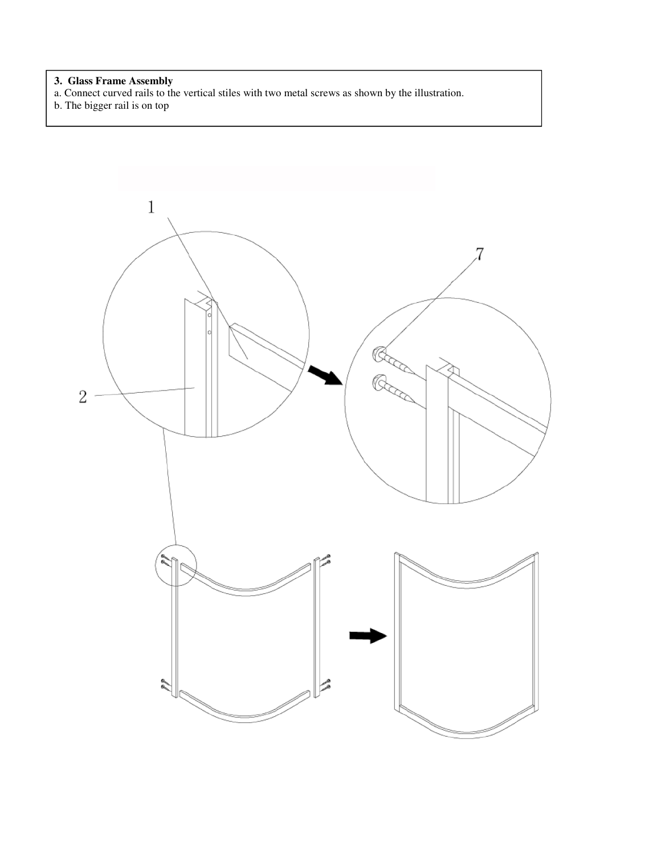#### **3. Glass Frame Assembly**

- a. Connect curved rails to the vertical stiles with two metal screws as shown by the illustration.
- b. The bigger rail is on top

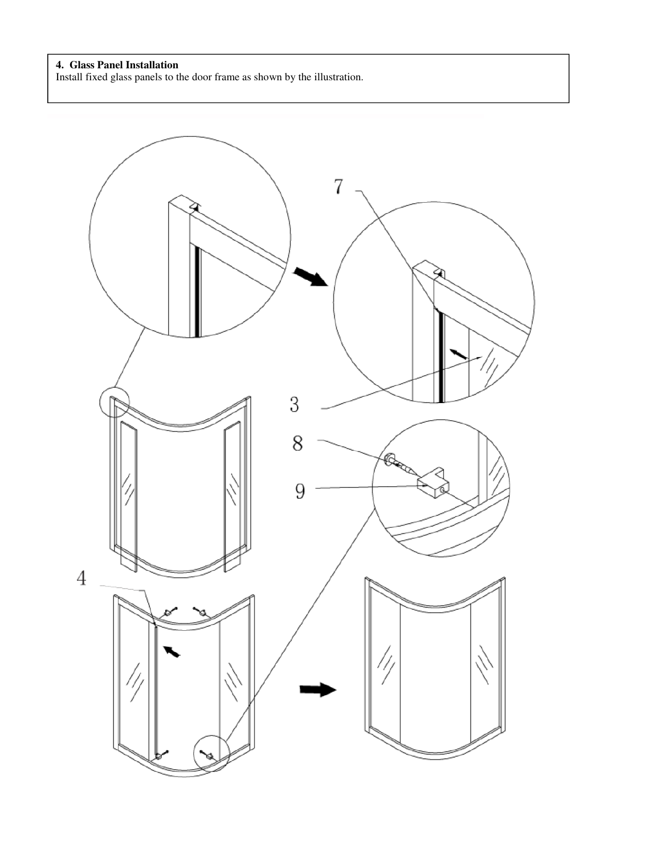# **4. Glass Panel Installation**

Install fixed glass panels to the door frame as shown by the illustration.

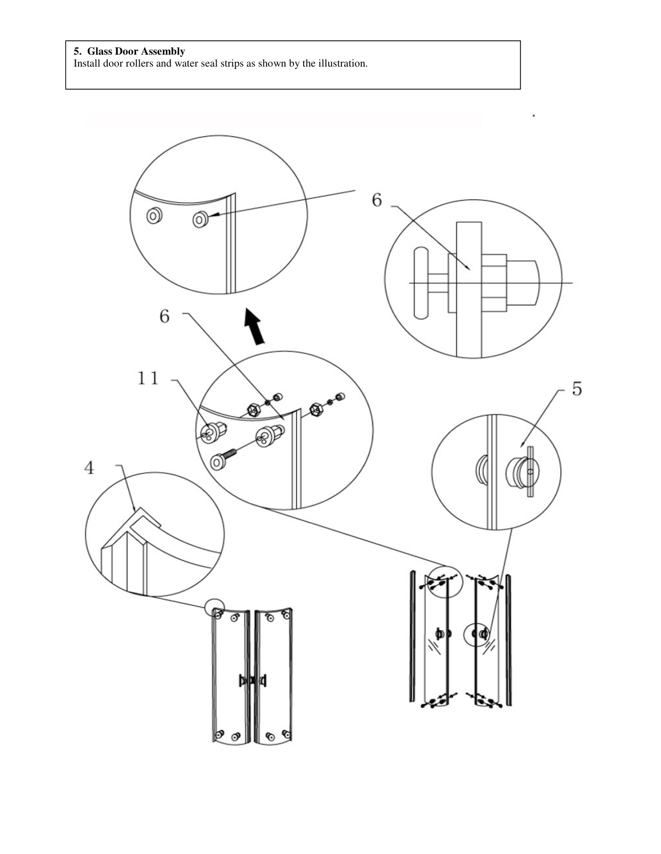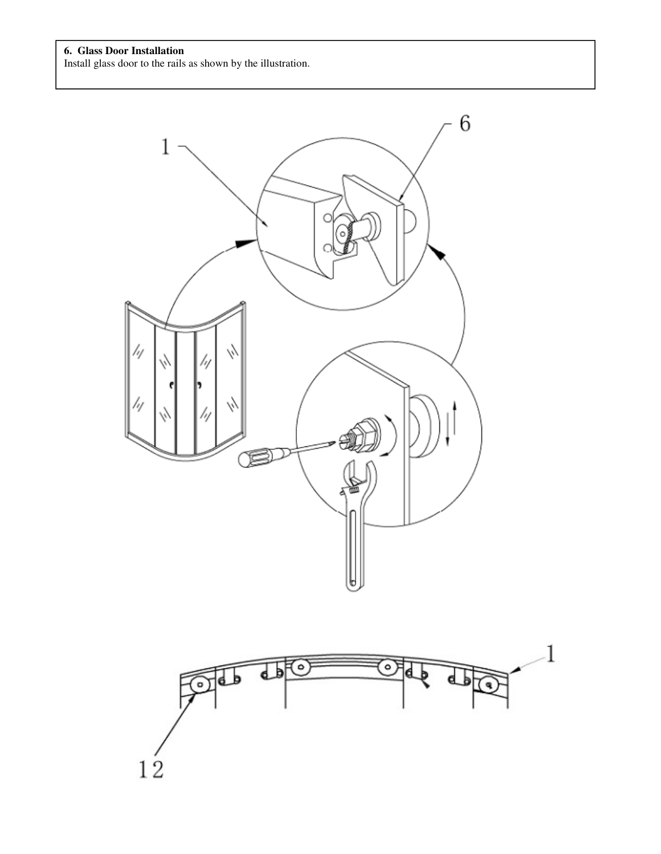

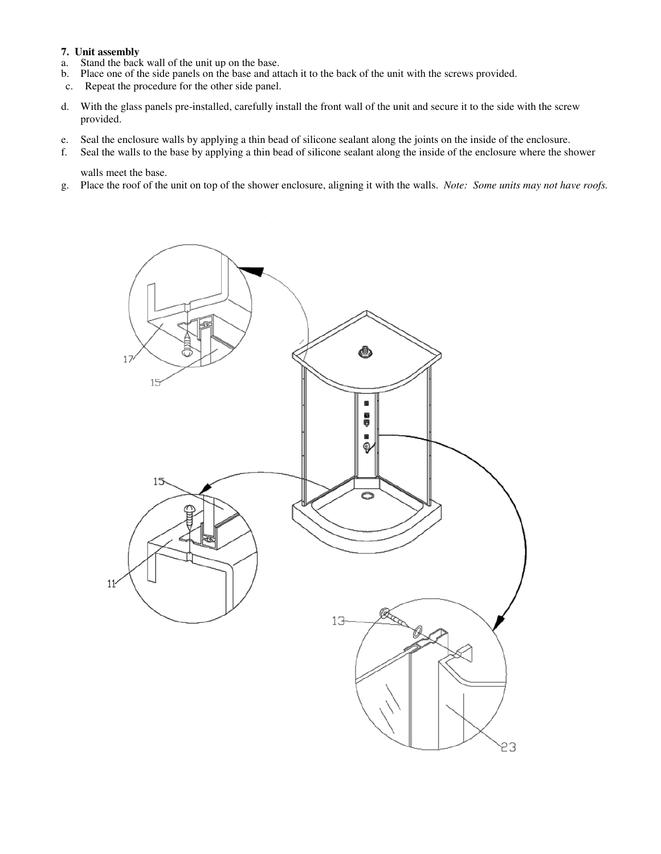# **7. Unit assembly**

- a. Stand the back wall of the unit up on the base.
- Place one of the side panels on the base and attach it to the back of the unit with the screws provided.
- c. Repeat the procedure for the other side panel.
- d. With the glass panels pre-installed, carefully install the front wall of the unit and secure it to the side with the screw provided.
- e. Seal the enclosure walls by applying a thin bead of silicone sealant along the joints on the inside of the enclosure.
- f. Seal the walls to the base by applying a thin bead of silicone sealant along the inside of the enclosure where the shower walls meet the base.
- g. Place the roof of the unit on top of the shower enclosure, aligning it with the walls. *Note: Some units may not have roofs.*

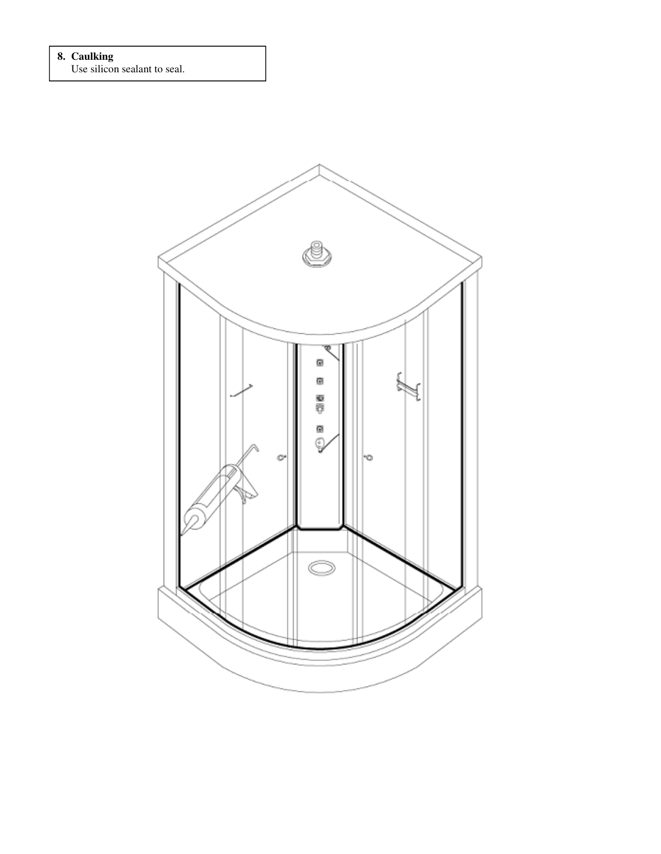# **8. Caulking**

Use silicon sealant to seal.